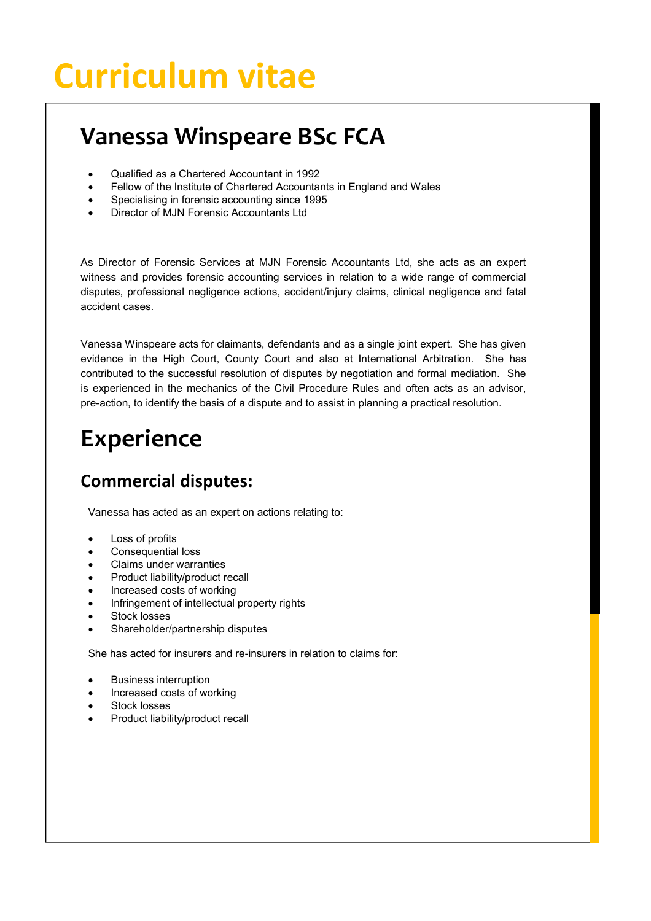# **Curriculum vitae**

# **Vanessa Winspeare BSc FCA**

- · Qualified as a Chartered Accountant in 1992
- Fellow of the Institute of Chartered Accountants in England and Wales
- Specialising in forensic accounting since 1995
- Director of MJN Forensic Accountants Ltd

As Director of Forensic Services at MJN Forensic Accountants Ltd, she acts as an expert witness and provides forensic accounting services in relation to a wide range of commercial disputes, professional negligence actions, accident/injury claims, clinical negligence and fatal accident cases.

Vanessa Winspeare acts for claimants, defendants and as a single joint expert. She has given evidence in the High Court, County Court and also at International Arbitration. She has contributed to the successful resolution of disputes by negotiation and formal mediation. She is experienced in the mechanics of the Civil Procedure Rules and often acts as an advisor, pre-action, to identify the basis of a dispute and to assist in planning a practical resolution.

# **Experience**

## **Commercial disputes:**

Vanessa has acted as an expert on actions relating to:

- Loss of profits
- Consequential loss
- Claims under warranties
- Product liability/product recall
- · Increased costs of working
- · Infringement of intellectual property rights
- Stock losses
- Shareholder/partnership disputes

She has acted for insurers and re-insurers in relation to claims for:

- **Business interruption**
- · Increased costs of working
- Stock losses
- Product liability/product recall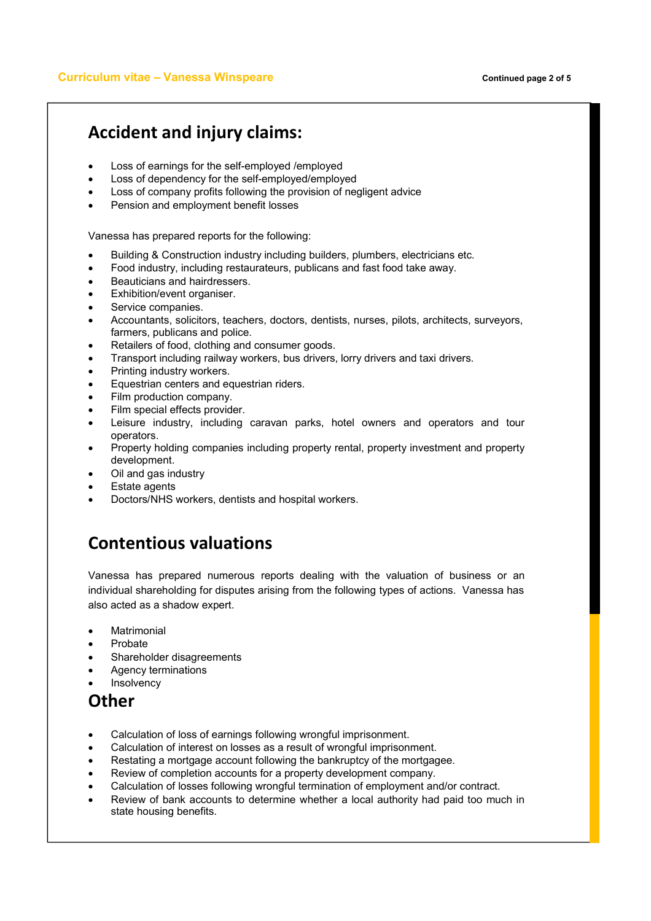#### **Accident and injury claims:**

- Loss of earnings for the self-employed /employed
- Loss of dependency for the self-employed/employed
- Loss of company profits following the provision of negligent advice
- Pension and employment benefit losses

Vanessa has prepared reports for the following:

- Building & Construction industry including builders, plumbers, electricians etc.
- · Food industry, including restaurateurs, publicans and fast food take away.
- Beauticians and hairdressers.
- Exhibition/event organiser.
- Service companies.
- · Accountants, solicitors, teachers, doctors, dentists, nurses, pilots, architects, surveyors, farmers, publicans and police.
- Retailers of food, clothing and consumer goods.
- · Transport including railway workers, bus drivers, lorry drivers and taxi drivers.
- Printing industry workers.
- Equestrian centers and equestrian riders.
- Film production company.
- Film special effects provider.
- Leisure industry, including caravan parks, hotel owners and operators and tour operators.
- Property holding companies including property rental, property investment and property development.
- · Oil and gas industry
- **Estate agents**
- Doctors/NHS workers, dentists and hospital workers.

### **Contentious valuations**

Vanessa has prepared numerous reports dealing with the valuation of business or an individual shareholding for disputes arising from the following types of actions. Vanessa has also acted as a shadow expert.

- **Matrimonial**
- · Probate
- Shareholder disagreements
- · Agency terminations
- **Insolvency**

#### **Other**

- Calculation of loss of earnings following wrongful imprisonment.
- Calculation of interest on losses as a result of wrongful imprisonment.
- Restating a mortgage account following the bankruptcy of the mortgagee.
- Review of completion accounts for a property development company.
- · Calculation of losses following wrongful termination of employment and/or contract.
- · Review of bank accounts to determine whether a local authority had paid too much in state housing benefits.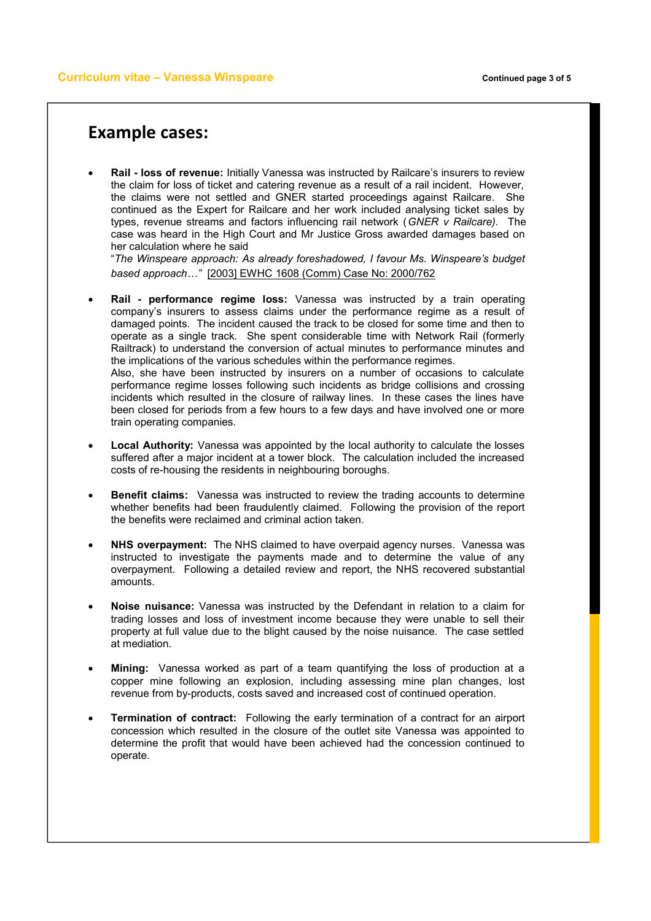#### **Example cases:**

· **Rail - loss of revenue:** Initially Vanessa was instructed by Railcare's insurers to review the claim for loss of ticket and catering revenue as a result of a rail incident. However, the claims were not settled and GNER started proceedings against Railcare. She continued as the Expert for Railcare and her work included analysing ticket sales by types, revenue streams and factors influencing rail network (*GNER v Railcare).* The case was heard in the High Court and Mr Justice Gross awarded damages based on her calculation where he said

"*The Winspeare approach: As already foreshadowed, I favour Ms. Winspeare's budget based approach…"* [2003] EWHC 1608 (Comm) Case No: 2000/762

· **Rail - performance regime loss:** Vanessa was instructed by a train operating company's insurers to assess claims under the performance regime as a result of damaged points. The incident caused the track to be closed for some time and then to operate as a single track. She spent considerable time with Network Rail (formerly Railtrack) to understand the conversion of actual minutes to performance minutes and the implications of the various schedules within the performance regimes. Also, she have been instructed by insurers on a number of occasions to calculate

performance regime losses following such incidents as bridge collisions and crossing incidents which resulted in the closure of railway lines. In these cases the lines have been closed for periods from a few hours to a few days and have involved one or more train operating companies.

- · **Local Authority:** Vanessa was appointed by the local authority to calculate the losses suffered after a major incident at a tower block. The calculation included the increased costs of re-housing the residents in neighbouring boroughs.
- **Benefit claims:** Vanessa was instructed to review the trading accounts to determine whether benefits had been fraudulently claimed. Following the provision of the report the benefits were reclaimed and criminal action taken.
- · **NHS overpayment:** The NHS claimed to have overpaid agency nurses. Vanessa was instructed to investigate the payments made and to determine the value of any overpayment. Following a detailed review and report, the NHS recovered substantial amounts.
- · **Noise nuisance:** Vanessa was instructed by the Defendant in relation to a claim for trading losses and loss of investment income because they were unable to sell their property at full value due to the blight caused by the noise nuisance. The case settled at mediation.
- · **Mining:** Vanessa worked as part of a team quantifying the loss of production at a copper mine following an explosion, including assessing mine plan changes, lost revenue from by-products, costs saved and increased cost of continued operation.
- · **Termination of contract:** Following the early termination of a contract for an airport concession which resulted in the closure of the outlet site Vanessa was appointed to determine the profit that would have been achieved had the concession continued to operate.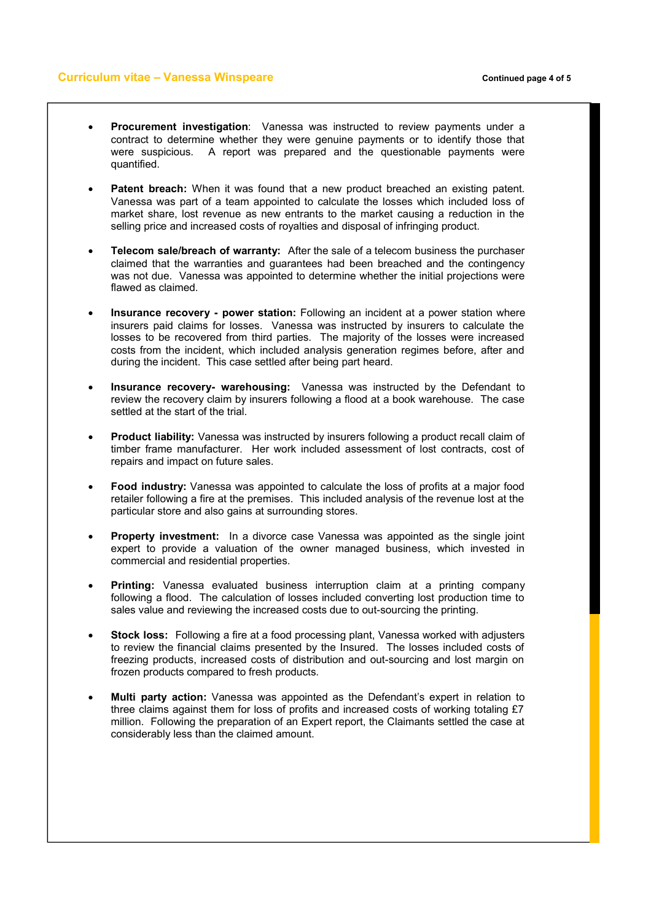#### **Curriculum vitae – Vanessa Winspeare** *Curriculum vitae – Vanessa Winspeare Continued page 4 of 5*

- · **Procurement investigation**: Vanessa was instructed to review payments under a contract to determine whether they were genuine payments or to identify those that were suspicious. A report was prepared and the questionable payments were quantified.
- **Patent breach:** When it was found that a new product breached an existing patent. Vanessa was part of a team appointed to calculate the losses which included loss of market share, lost revenue as new entrants to the market causing a reduction in the selling price and increased costs of royalties and disposal of infringing product.
- · **Telecom sale/breach of warranty:** After the sale of a telecom business the purchaser claimed that the warranties and guarantees had been breached and the contingency was not due. Vanessa was appointed to determine whether the initial projections were flawed as claimed.
- · **Insurance recovery - power station:** Following an incident at a power station where insurers paid claims for losses. Vanessa was instructed by insurers to calculate the losses to be recovered from third parties. The majority of the losses were increased costs from the incident, which included analysis generation regimes before, after and during the incident. This case settled after being part heard.
- · **Insurance recovery- warehousing:** Vanessa was instructed by the Defendant to review the recovery claim by insurers following a flood at a book warehouse. The case settled at the start of the trial.
- · **Product liability:** Vanessa was instructed by insurers following a product recall claim of timber frame manufacturer. Her work included assessment of lost contracts, cost of repairs and impact on future sales.
- · **Food industry:** Vanessa was appointed to calculate the loss of profits at a major food retailer following a fire at the premises. This included analysis of the revenue lost at the particular store and also gains at surrounding stores.
- · **Property investment:** In a divorce case Vanessa was appointed as the single joint expert to provide a valuation of the owner managed business, which invested in commercial and residential properties.
- · **Printing:** Vanessa evaluated business interruption claim at a printing company following a flood. The calculation of losses included converting lost production time to sales value and reviewing the increased costs due to out-sourcing the printing.
- **Stock loss:** Following a fire at a food processing plant, Vanessa worked with adjusters to review the financial claims presented by the Insured. The losses included costs of freezing products, increased costs of distribution and out-sourcing and lost margin on frozen products compared to fresh products.
- · **Multi party action:** Vanessa was appointed as the Defendant's expert in relation to three claims against them for loss of profits and increased costs of working totaling £7 million. Following the preparation of an Expert report, the Claimants settled the case at considerably less than the claimed amount.